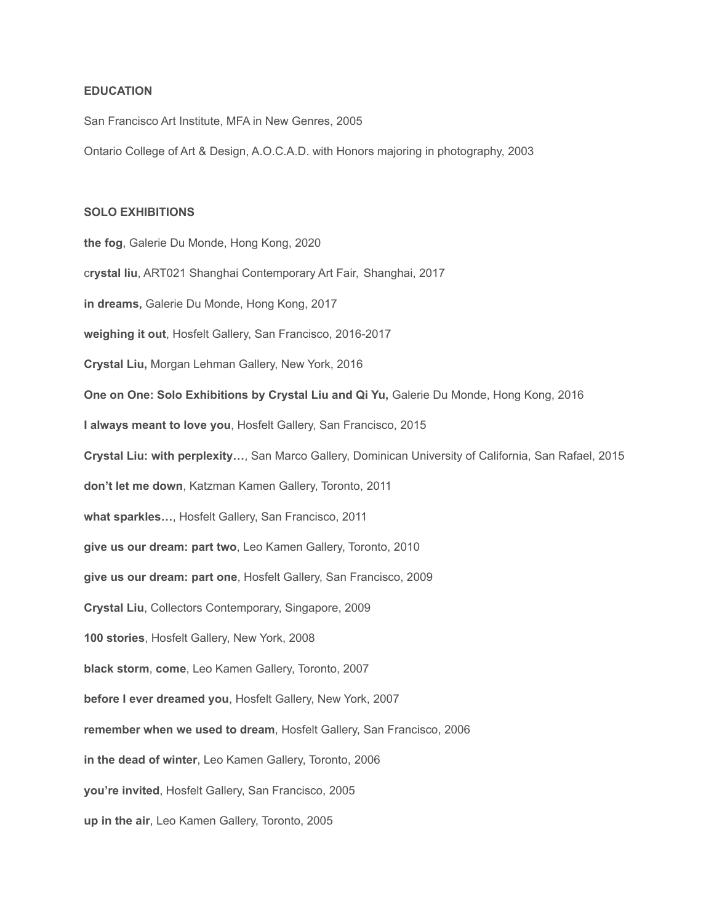## **EDUCATION**

San Francisco Art Institute, MFA in New Genres, 2005

Ontario College of Art & Design, A.O.C.A.D. with Honors majoring in photography, 2003

### **SOLO EXHIBITIONS**

**the fog**, Galerie Du Monde, Hong Kong, 2020 c**rystal liu**, ART021 Shanghai Contemporary Art Fair, Shanghai, 2017 **in dreams,** Galerie Du Monde, Hong Kong, 2017 **weighing it out**, Hosfelt Gallery, San Francisco, 2016-2017 **Crystal Liu,** Morgan Lehman Gallery, New York, 2016 **One on One: Solo Exhibitions by Crystal Liu and Qi Yu,** Galerie Du Monde, Hong Kong, 2016 **I always meant to love you**, Hosfelt Gallery, San Francisco, 2015 **Crystal Liu: with perplexity…**, San Marco Gallery, Dominican University of California, San Rafael, 2015 **don't let me down**, Katzman Kamen Gallery, Toronto, 2011 **what sparkles…**, Hosfelt Gallery, San Francisco, 2011 **give us our dream: part two**, Leo Kamen Gallery, Toronto, 2010 **give us our dream: part one**, Hosfelt Gallery, San Francisco, 2009 **Crystal Liu**, Collectors Contemporary, Singapore, 2009 **100 stories**, Hosfelt Gallery, New York, 2008 **black storm**, **come**, Leo Kamen Gallery, Toronto, 2007 **before I ever dreamed you**, Hosfelt Gallery, New York, 2007 **remember when we used to dream**, Hosfelt Gallery, San Francisco, 2006 **in the dead of winter**, Leo Kamen Gallery, Toronto, 2006 **you're invited**, Hosfelt Gallery, San Francisco, 2005 **up in the air**, Leo Kamen Gallery, Toronto, 2005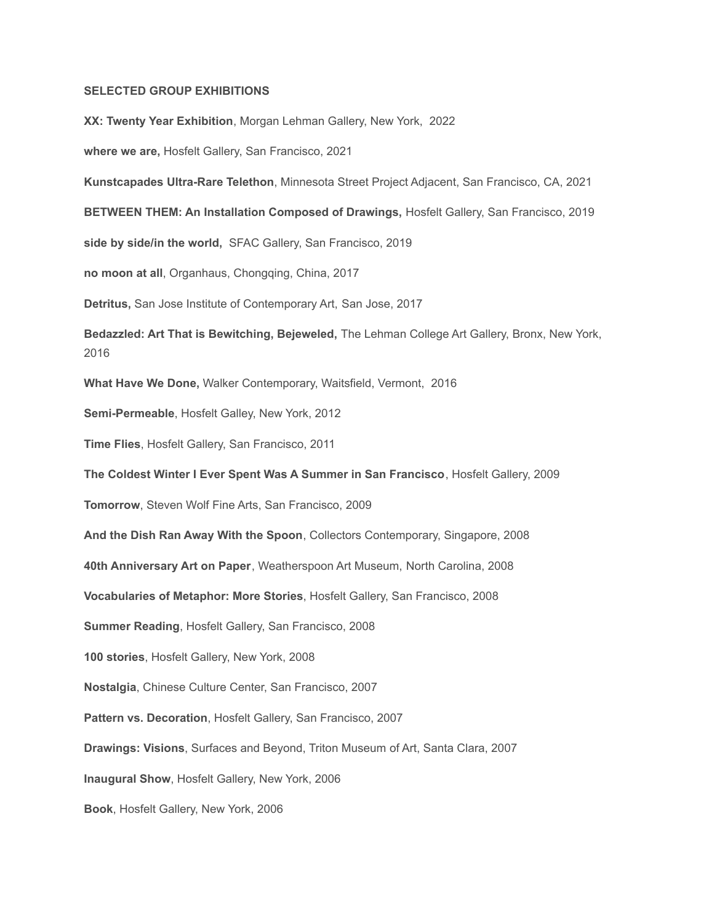### **SELECTED GROUP EXHIBITIONS**

**XX: Twenty Year Exhibition**, Morgan Lehman Gallery, New York, 2022 **where we are,** Hosfelt Gallery, San Francisco, 2021 **Kunstcapades Ultra-Rare Telethon**, Minnesota Street Project Adjacent, San Francisco, CA, 2021 **BETWEEN THEM: An Installation Composed of Drawings,** Hosfelt Gallery, San Francisco, 2019 **side by side/in the world,** SFAC Gallery, San Francisco, 2019 **no moon at all**, Organhaus, Chongqing, China, 2017 **Detritus,** San Jose Institute of Contemporary Art, San Jose, 2017 **Bedazzled: Art That is Bewitching, Bejeweled,** The Lehman College Art Gallery, Bronx, New York, 2016 **What Have We Done,** Walker Contemporary, Waitsfield, Vermont, 2016 **Semi-Permeable**, Hosfelt Galley, New York, 2012 **Time Flies**, Hosfelt Gallery, San Francisco, 2011 **The Coldest Winter I Ever Spent Was A Summer in San Francisco**, Hosfelt Gallery, 2009 **Tomorrow**, Steven Wolf Fine Arts, San Francisco, 2009 **And the Dish Ran Away With the Spoon**, Collectors Contemporary, Singapore, 2008 **40th Anniversary Art on Paper**, Weatherspoon Art Museum, North Carolina, 2008 **Vocabularies of Metaphor: More Stories**, Hosfelt Gallery, San Francisco, 2008 **Summer Reading**, Hosfelt Gallery, San Francisco, 2008 **100 stories**, Hosfelt Gallery, New York, 2008 **Nostalgia**, Chinese Culture Center, San Francisco, 2007 **Pattern vs. Decoration**, Hosfelt Gallery, San Francisco, 2007 **Drawings: Visions**, Surfaces and Beyond, Triton Museum of Art, Santa Clara, 2007 **Inaugural Show**, Hosfelt Gallery, New York, 2006 **Book**, Hosfelt Gallery, New York, 2006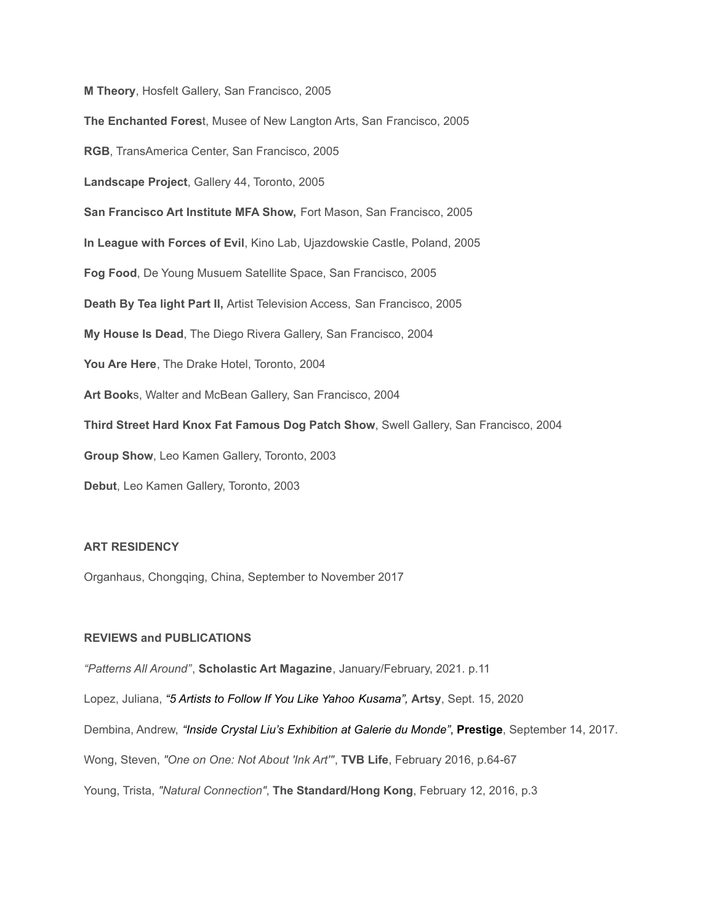**M Theory**, Hosfelt Gallery, San Francisco, 2005 **The Enchanted Fores**t, Musee of New Langton Arts, San Francisco, 2005 **RGB**, TransAmerica Center, San Francisco, 2005 **Landscape Project**, Gallery 44, Toronto, 2005 **San Francisco Art Institute MFA Show,** Fort Mason, San Francisco, 2005 **In League with Forces of Evil**, Kino Lab, Ujazdowskie Castle, Poland, 2005 **Fog Food**, De Young Musuem Satellite Space, San Francisco, 2005 **Death By Tea light Part II,** Artist Television Access, San Francisco, 2005 **My House Is Dead**, The Diego Rivera Gallery, San Francisco, 2004 **You Are Here**, The Drake Hotel, Toronto, 2004 **Art Book**s, Walter and McBean Gallery, San Francisco, 2004 **Third Street Hard Knox Fat Famous Dog Patch Show**, Swell Gallery, San Francisco, 2004 **Group Show**, Leo Kamen Gallery, Toronto, 2003 **Debut**, Leo Kamen Gallery, Toronto, 2003

# **ART RESIDENCY**

Organhaus, Chongqing, China, September to November 2017

### **REVIEWS and PUBLICATIONS**

*"Patterns All Around"*, **Scholastic Art Magazine**, January/February, 2021. p.11 Lopez, Juliana, *"5 Artists to Follow If You Like Yahoo [Kusama",](https://www.artsy.net/article/artsy-editorial-5-artists-follow-yayoi-kusama)* **Artsy**, Sept. 15, 2020 Dembina, Andrew, *"Inside Crystal Liu's [Exhibition](https://www.prestigeonline.com/hk/pursuits/inside-crystal-lius-exhibition-galerie-du-monde/) at Galerie du Monde"*, **Prestige**, September 14, 2017. Wong, Steven, *"One on One: Not About 'Ink Art'"*, **TVB Life**, February 2016, p.64-67 Young, Trista, *"Natural Connection"*, **The Standard/Hong Kong**, February 12, 2016, p.3